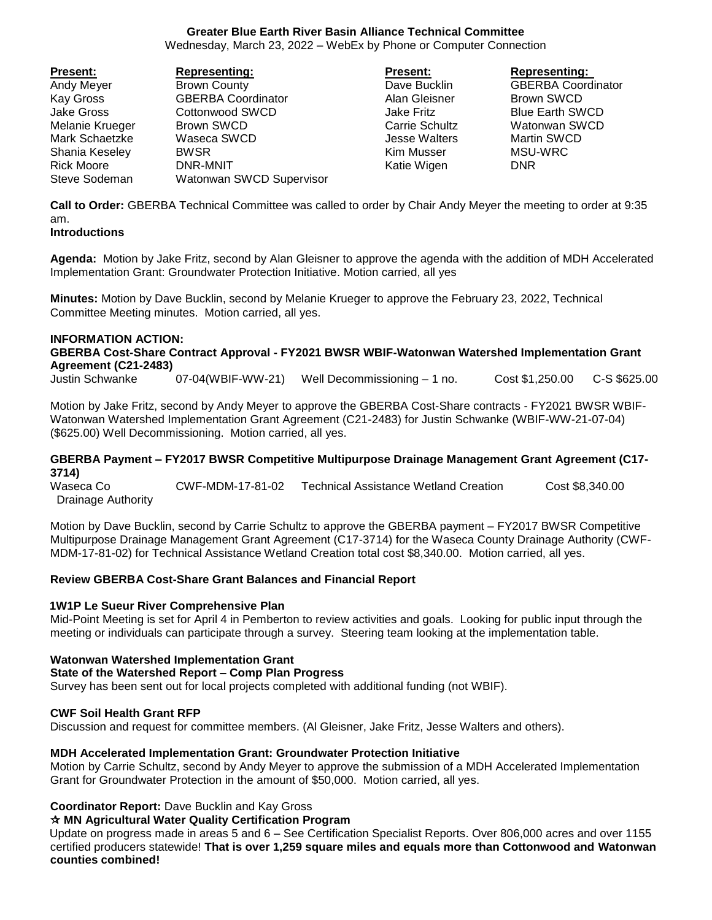# **Greater Blue Earth River Basin Alliance Technical Committee**

Wednesday, March 23, 2022 – WebEx by Phone or Computer Connection

| Present:        | <b>Representing:</b>      | <b>Present:</b>       | <b>Representing:</b>      |
|-----------------|---------------------------|-----------------------|---------------------------|
| Andy Meyer      | <b>Brown County</b>       | Dave Bucklin          | <b>GBERBA Coordinator</b> |
| Kay Gross       | <b>GBERBA Coordinator</b> | Alan Gleisner         | Brown SWCD                |
| Jake Gross      | Cottonwood SWCD           | Jake Fritz            | <b>Blue Earth SWCD</b>    |
| Melanie Krueger | Brown SWCD                | <b>Carrie Schultz</b> | Watonwan SWCD             |
| Mark Schaetzke  | Waseca SWCD               | Jesse Walters         | Martin SWCD               |
| Shania Keseley  | <b>BWSR</b>               | Kim Musser            | MSU-WRC                   |
| Rick Moore      | DNR-MNIT                  | Katie Wigen           | <b>DNR</b>                |
| Steve Sodeman   | Watonwan SWCD Supervisor  |                       |                           |

**Call to Order:** GBERBA Technical Committee was called to order by Chair Andy Meyer the meeting to order at 9:35 am.

### **Introductions**

**Agenda:** Motion by Jake Fritz, second by Alan Gleisner to approve the agenda with the addition of MDH Accelerated Implementation Grant: Groundwater Protection Initiative. Motion carried, all yes

**Minutes:** Motion by Dave Bucklin, second by Melanie Krueger to approve the February 23, 2022, Technical Committee Meeting minutes. Motion carried, all yes.

#### **INFORMATION ACTION:**

### **GBERBA Cost-Share Contract Approval - FY2021 BWSR WBIF-Watonwan Watershed Implementation Grant Agreement (C21-2483)**

Justin Schwanke 07-04(WBIF-WW-21) Well Decommissioning – 1 no. Cost \$1,250.00 C-S \$625.00

Motion by Jake Fritz, second by Andy Meyer to approve the GBERBA Cost-Share contracts - FY2021 BWSR WBIF-Watonwan Watershed Implementation Grant Agreement (C21-2483) for Justin Schwanke (WBIF-WW-21-07-04) (\$625.00) Well Decommissioning. Motion carried, all yes.

#### **GBERBA Payment – FY2017 BWSR Competitive Multipurpose Drainage Management Grant Agreement (C17- 3714)**

Waseca Co **CWF-MDM-17-81-02** Technical Assistance Wetland Creation Cost \$8,340.00 Drainage Authority

Motion by Dave Bucklin, second by Carrie Schultz to approve the GBERBA payment – FY2017 BWSR Competitive Multipurpose Drainage Management Grant Agreement (C17-3714) for the Waseca County Drainage Authority (CWF-MDM-17-81-02) for Technical Assistance Wetland Creation total cost \$8,340.00. Motion carried, all yes.

### **Review GBERBA Cost-Share Grant Balances and Financial Report**

### **1W1P Le Sueur River Comprehensive Plan**

Mid-Point Meeting is set for April 4 in Pemberton to review activities and goals. Looking for public input through the meeting or individuals can participate through a survey. Steering team looking at the implementation table.

# **Watonwan Watershed Implementation Grant**

### **State of the Watershed Report – Comp Plan Progress**

Survey has been sent out for local projects completed with additional funding (not WBIF).

### **CWF Soil Health Grant RFP**

Discussion and request for committee members. (Al Gleisner, Jake Fritz, Jesse Walters and others).

### **MDH Accelerated Implementation Grant: Groundwater Protection Initiative**

Motion by Carrie Schultz, second by Andy Meyer to approve the submission of a MDH Accelerated Implementation Grant for Groundwater Protection in the amount of \$50,000. Motion carried, all yes.

# **Coordinator Report:** Dave Bucklin and Kay Gross

### **MN Agricultural Water Quality Certification Program**

Update on progress made in areas 5 and 6 – See Certification Specialist Reports. Over 806,000 acres and over 1155 certified producers statewide! **That is over 1,259 square miles and equals more than Cottonwood and Watonwan counties combined!**